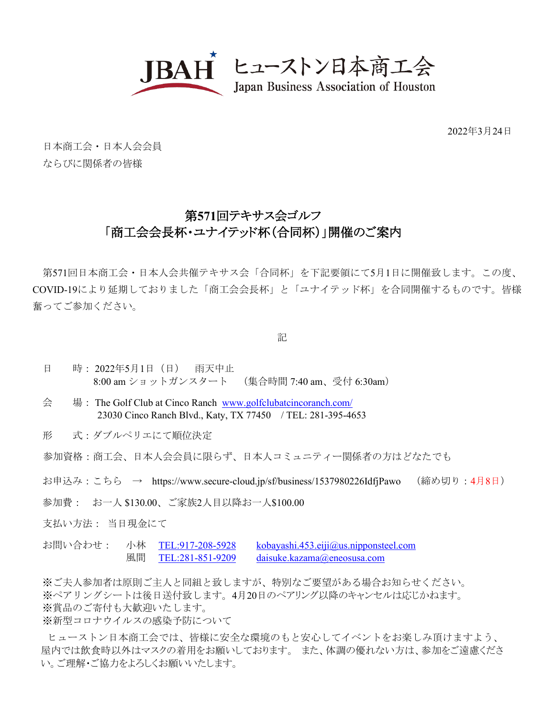

2022年3月24日

日本商工会・日本人会会員 ならびに関係者の皆様

## 第**571**回テキサス会ゴルフ 「商工会会長杯・ユナイテッド杯(合同杯)」開催のご案内

第571回日本商工会・日本人会共催テキサス会「合同杯」を下記要領にて5月1日に開催致します。この度、 COVID-19により延期しておりました「商工会会長杯」と「ユナイテッド杯」を合同開催するものです。皆様 奮ってご参加ください。

記

- 日 時: 2022年5月1日(日) 雨天中止 8:00 am ショットガンスタート (集合時間 7:40 am、受付 6:30am)
- 会 場: The Golf Club at Cinco Ranch [www.golfclubatcincoranch.com/](http://www.golfclubatcincoranch.com/) 23030 Cinco Ranch Blvd., Katy, TX 77450 / TEL: 281-395-4653
- 形 式:ダブルペリエにて順位決定

参加資格:商工会、日本人会会員に限らず、日本人コミュニティー関係者の方はどなたでも

- お申込み:こちら → https://www.secure-cloud.jp/sf/business/1537980226IdfjPawo (締め切り:4月8日)
- 参加費: お一人 \$130.00、ご家族2人目以降お一人\$100.00
- 支払い方法: 当日現金にて
- お問い合わせ: 小林 [TEL:917-208-5928](tel:917-208-5928) [kobayashi.453.eiji@us.nipponsteel.com](mailto:kobayashi.453.eiji@us.nipponsteel.com) 風間 [TEL:281-851-9209](tel:281-851-9209) [daisuke.kazama@eneosusa.com](mailto:daisuke.kazama@eneosusa.com)

※ご夫人参加者は原則ご主人と同組と致しますが、特別なご要望がある場合お知らせください。 ※ペアリングシートは後日送付致します。4月20日のペアリング以降のキャンセルは応じかねます。 ※賞品のご寄付も大歓迎いたします。

※新型コロナウイルスの感染予防について

ヒューストン日本商工会では、皆様に安全な環境のもと安心してイベントをお楽しみ頂けますよう、 屋内では飲食時以外はマスクの着用をお願いしております。 また、体調の優れない方は、参加をご遠慮くださ い。ご理解・ご協力をよろしくお願いいたします。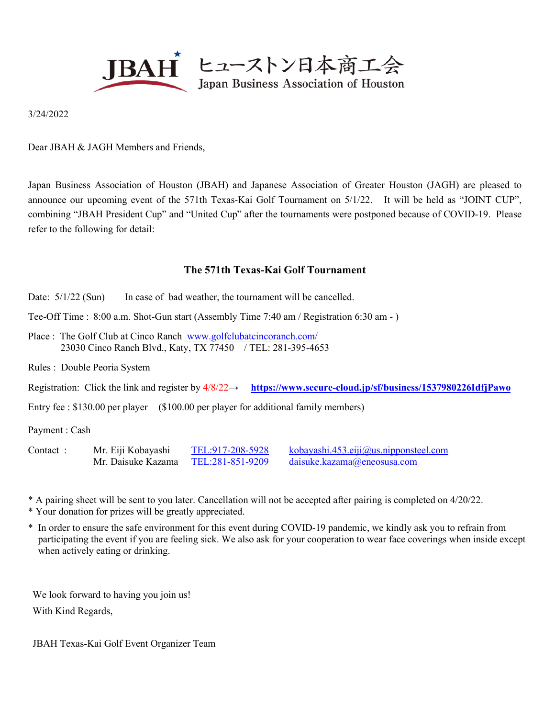

3/24/2022

Dear JBAH & JAGH Members and Friends,

Japan Business Association of Houston (JBAH) and Japanese Association of Greater Houston (JAGH) are pleased to announce our upcoming event of the 571th Texas-Kai Golf Tournament on 5/1/22. It will be held as "JOINT CUP", combining "JBAH President Cup" and "United Cup" after the tournaments were postponed because of COVID-19. Please refer to the following for detail:

## **The 571th Texas-Kai Golf Tournament**

- Date:  $5/1/22$  (Sun) In case of bad weather, the tournament will be cancelled.
- Tee-Off Time : 8:00 a.m. Shot-Gun start (Assembly Time 7:40 am / Registration 6:30 am )
- Place : The Golf Club at Cinco Ranch [www.golfclubatcincoranch.com/](http://www.golfclubatcincoranch.com/) 23030 Cinco Ranch Blvd., Katy, TX 77450 / TEL: 281-395-4653

Rules : Double Peoria System

Registration: Click the link and register by 4/8/22→ **<https://www.secure-cloud.jp/sf/business/1537980226IdfjPawo>**

Entry fee : \$130.00 per player (\$100.00 per player for additional family members)

Payment : Cash

| Contact: | Mr. Eiji Kobayashi | TEL:917-208-5928 | kobayashi.453.eiji@us.nipponsteel.com |
|----------|--------------------|------------------|---------------------------------------|
|          | Mr. Daisuke Kazama | TEL:281-851-9209 | $d$ aisuke.kazama@eneosusa.com        |

\* A pairing sheet will be sent to you later. Cancellation will not be accepted after pairing is completed on 4/20/22.

- \* Your donation for prizes will be greatly appreciated.
- \* In order to ensure the safe environment for this event during COVID-19 pandemic, we kindly ask you to refrain from participating the event if you are feeling sick. We also ask for your cooperation to wear face coverings when inside except when actively eating or drinking.

We look forward to having you join us! With Kind Regards,

JBAH Texas-Kai Golf Event Organizer Team